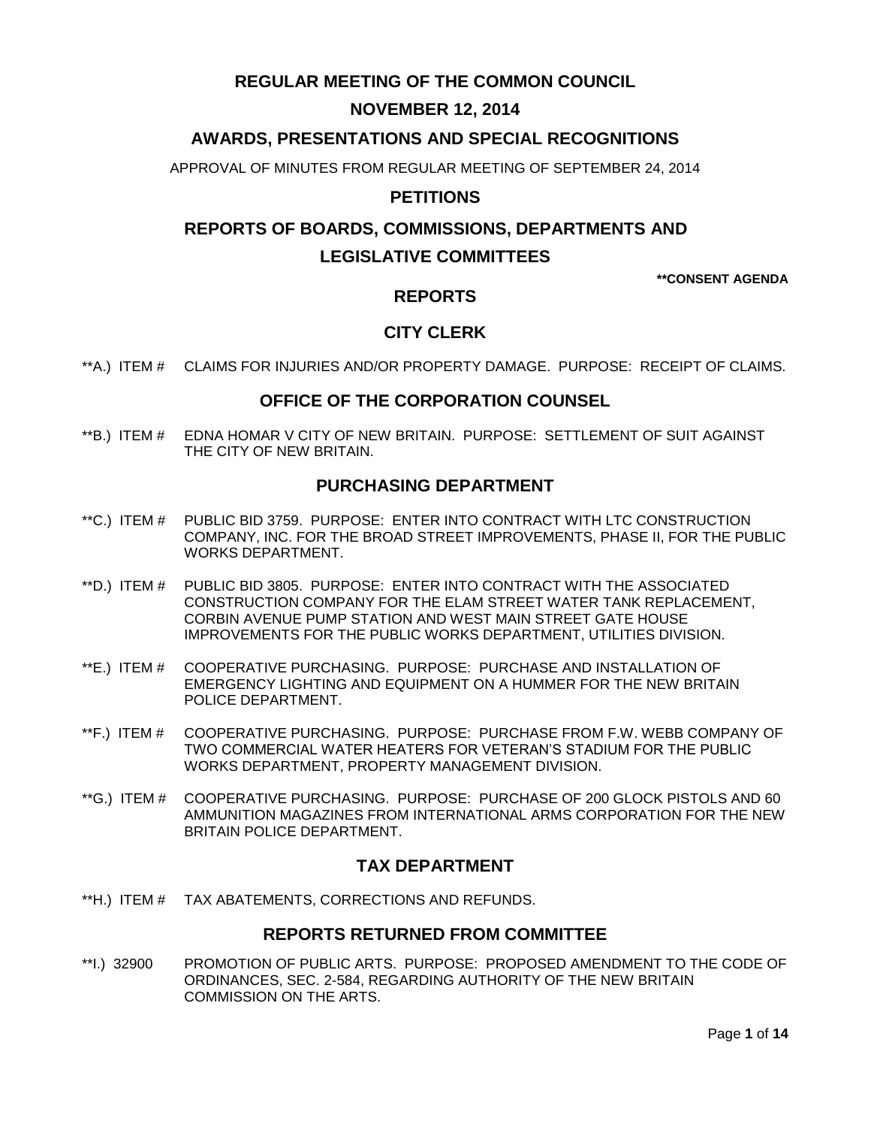# **REGULAR MEETING OF THE COMMON COUNCIL**

# **NOVEMBER 12, 2014**

# **AWARDS, PRESENTATIONS AND SPECIAL RECOGNITIONS**

APPROVAL OF MINUTES FROM REGULAR MEETING OF SEPTEMBER 24, 2014

### **PETITIONS**

# **REPORTS OF BOARDS, COMMISSIONS, DEPARTMENTS AND LEGISLATIVE COMMITTEES**

**\*\*CONSENT AGENDA**

### **REPORTS**

# **CITY CLERK**

\*\*A.) ITEM # [CLAIMS FOR INJURIES AND/OR PROPERTY DAMAGE. PURPOSE: RECEIPT OF CLAIMS.](#page-2-0)

### **OFFICE OF THE CORPORATION COUNSEL**

\*\*B.) ITEM # EDNA HOMAR [V CITY OF NEW BRITAIN. PURPOSE: SETTLEMENT OF SUIT AGAINST](#page-2-1)  [THE CITY OF NEW BRITAIN.](#page-2-1)

### **PURCHASING DEPARTMENT**

- \*\*C.) ITEM # [PUBLIC BID 3759. PURPOSE: ENTER INTO CONTRACT WITH LTC CONSTRUCTION](#page-3-0)  [COMPANY, INC. FOR THE BROAD STREET IMPROVEMENTS, PHASE II, FOR THE PUBLIC](#page-3-0)  [WORKS DEPARTMENT.](#page-3-0)
- \*\*D.) ITEM # [PUBLIC BID 3805. PURPOSE: ENTER INTO CONTRACT WITH THE ASSOCIATED](#page-3-1)  [CONSTRUCTION COMPANY FOR THE ELAM STREET WATER TANK REPLACEMENT,](#page-3-1)  [CORBIN AVENUE PUMP STATION AND WEST MAIN STREET GATE HOUSE](#page-3-1)  [IMPROVEMENTS FOR THE PUBLIC WORKS DEPARTMENT, UTILITIES DIVISION.](#page-3-1)
- \*\*E.) ITEM # [COOPERATIVE PURCHASING. PURPOSE: PURCHASE AND INSTALLATION OF](#page-4-0)  [EMERGENCY LIGHTING AND EQUIPMENT ON A HUMMER FOR THE NEW BRITAIN](#page-4-0)  [POLICE DEPARTMENT.](#page-4-0)
- \*\*F.) ITEM # [COOPERATIVE PURCHASING. PURPOSE: PURCHASE FROM F.W. WEBB COMPANY OF](#page-5-0)  [TWO COMMERCIAL WATER HEATERS FOR VETERAN'S STADIUM FOR THE PUBLIC](#page-5-0) [WORKS DEPARTMENT, PROPERTY MANAGEMENT DIVISION.](#page-5-0)
- \*\*G.) ITEM # [COOPERATIVE PURCHASING. PURPOSE: PURCHASE OF 200 GLOCK PISTOLS AND 60](#page-5-1)  [AMMUNITION MAGAZINES FROM INTERNATIONAL ARMS CORPORATION FOR THE NEW](#page-5-1)  [BRITAIN POLICE DEPARTMENT.](#page-5-1)

### **TAX DEPARTMENT**

\*\*H.) ITEM # [TAX ABATEMENTS, CORRECTIONS AND REFUNDS.](#page-6-0)

### **REPORTS RETURNED FROM COMMITTEE**

\*\*I.) 32900 [PROMOTION OF PUBLIC ARTS. PURPOSE: PROPOSED AMENDMENT TO THE CODE OF](#page-6-1)  [ORDINANCES, SEC. 2-584, REGARDING AUTHORITY OF THE NEW BRITAIN](#page-6-1)  [COMMISSION ON THE ARTS.](#page-6-1)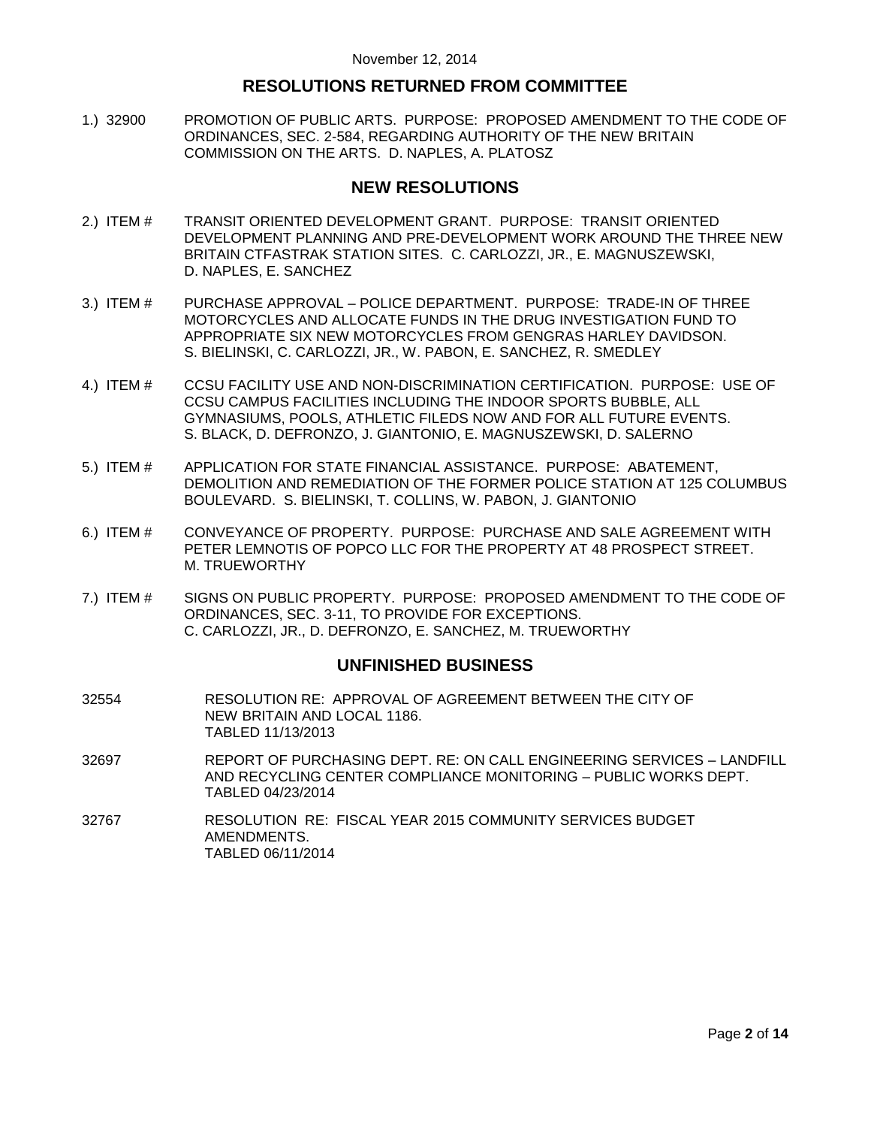### **RESOLUTIONS RETURNED FROM COMMITTEE**

1.) 32900 [PROMOTION OF PUBLIC ARTS. PURPOSE: PROPOSED AMENDMENT TO THE CODE OF](#page-7-0)  [ORDINANCES, SEC. 2-584, REGARDING AUTHORITY OF THE NEW BRITAIN](#page-7-0)  [COMMISSION ON THE ARTS. D. NAPLES, A. PLATOSZ](#page-7-0)

### **NEW RESOLUTIONS**

- 2.) ITEM # [TRANSIT ORIENTED DEVELOPMENT GRANT. PURPOSE: TRANSIT ORIENTED](#page-9-0)  [DEVELOPMENT PLANNING AND PRE-DEVELOPMENT WORK AROUND THE THREE NEW](#page-9-0)  [BRITAIN CTFASTRAK STATION SITES. C. CARLOZZI, JR., E. MAGNUSZEWSKI,](#page-9-0)  [D. NAPLES, E. SANCHEZ](#page-9-0)
- 3.) ITEM # PURCHASE APPROVAL [POLICE DEPARTMENT. PURPOSE: TRADE-IN OF THREE](#page-10-0)  [MOTORCYCLES AND ALLOCATE FUNDS IN THE DRUG INVESTIGATION FUND TO](#page-10-0)  [APPROPRIATE SIX NEW MOTORCYCLES FROM GENGRAS HARLEY DAVIDSON.](#page-10-0)  [S. BIELINSKI, C. CARLOZZI, JR., W. PABON, E. SANCHEZ, R. SMEDLEY](#page-10-0)
- 4.) ITEM # [CCSU FACILITY USE AND NON-DISCRIMINATION CERTIFICATION. PURPOSE: USE OF](#page-10-1)  [CCSU CAMPUS FACILITIES INCLUDING THE INDOOR SPORTS BUBBLE, ALL](#page-10-1)  [GYMNASIUMS, POOLS, ATHLETIC FILEDS NOW AND FOR ALL FUTURE EVENTS.](#page-10-1) [S. BLACK, D. DEFRONZO, J. GIANTONIO, E. MAGNUSZEWSKI, D. SALERNO](#page-10-1)
- 5.) ITEM # [APPLICATION FOR STATE FINANCIAL ASSISTANCE. PURPOSE: ABATEMENT,](#page-11-0)  [DEMOLITION AND REMEDIATION OF THE FORMER POLICE STATION AT 125 COLUMBUS](#page-11-0)  [BOULEVARD. S. BIELINSKI, T. COLLINS, W. PABON, J. GIANTONIO](#page-11-0)
- 6.) ITEM # [CONVEYANCE OF PROPERTY. PURPOSE: PURCHASE AND SALE AGREEMENT WITH](#page-12-0)  [PETER LEMNOTIS OF POPCO LLC FOR THE PROPERTY AT 48 PROSPECT STREET.](#page-12-0)  [M. TRUEWORTHY](#page-12-0)
- 7.) ITEM # [SIGNS ON PUBLIC PROPERTY. PURPOSE: PROPOSED AMENDMENT TO THE CODE OF](#page-12-1)  [ORDINANCES, SEC. 3-11, TO PROVIDE FOR EXCEPTIONS.](#page-12-1)  [C. CARLOZZI, JR., D. DEFRONZO, E. SANCHEZ, M. TRUEWORTHY](#page-12-1)

### **UNFINISHED BUSINESS**

- 32554 RESOLUTION RE: APPROVAL OF AGREEMENT BETWEEN THE CITY OF NEW BRITAIN AND LOCAL 1186. TABLED 11/13/2013
- 32697 REPORT OF PURCHASING DEPT. RE: ON CALL ENGINEERING SERVICES LANDFILL AND RECYCLING CENTER COMPLIANCE MONITORING – PUBLIC WORKS DEPT. TABLED 04/23/2014
- 32767 RESOLUTION RE: FISCAL YEAR 2015 COMMUNITY SERVICES BUDGET AMENDMENTS. TABLED 06/11/2014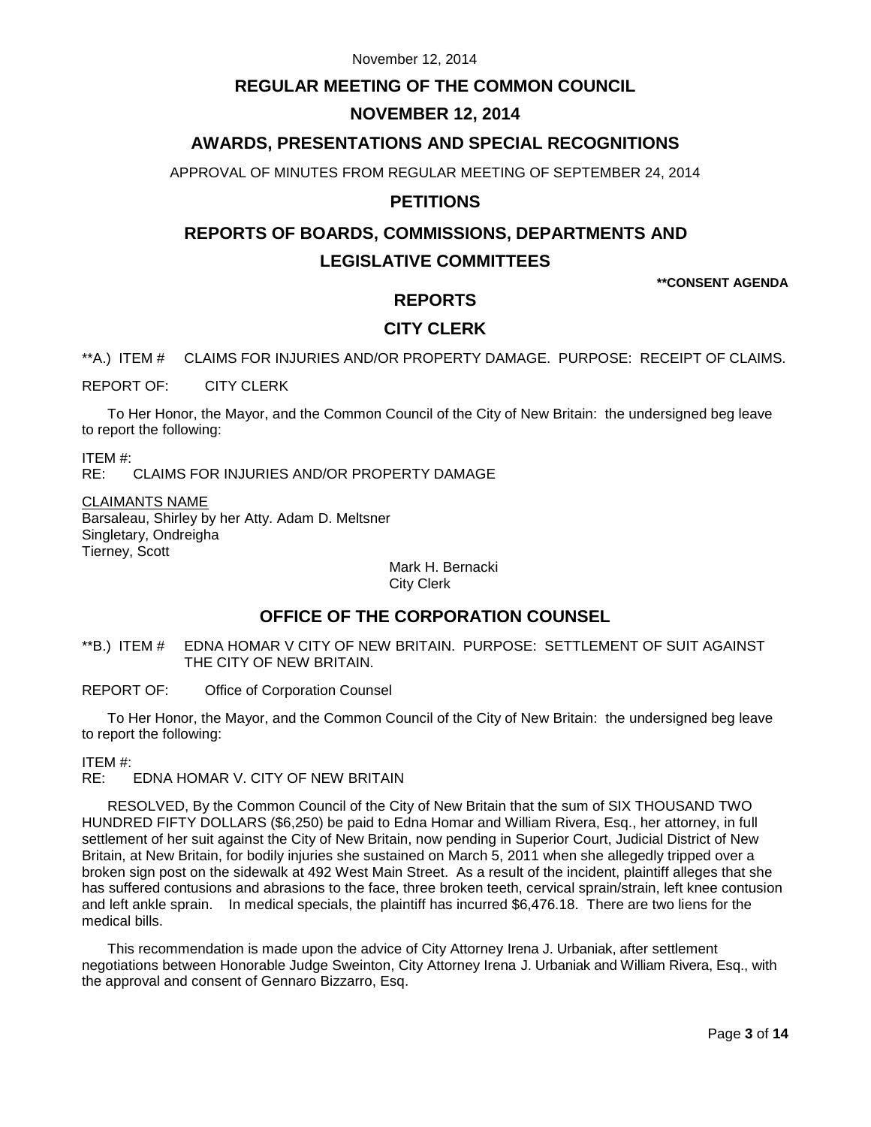### **REGULAR MEETING OF THE COMMON COUNCIL**

## **NOVEMBER 12, 2014**

# **AWARDS, PRESENTATIONS AND SPECIAL RECOGNITIONS**

APPROVAL OF MINUTES FROM REGULAR MEETING OF SEPTEMBER 24, 2014

## **PETITIONS**

# **REPORTS OF BOARDS, COMMISSIONS, DEPARTMENTS AND LEGISLATIVE COMMITTEES**

**\*\*CONSENT AGENDA**

# **REPORTS**

# **CITY CLERK**

<span id="page-2-0"></span>\*\*A.) ITEM # CLAIMS FOR INJURIES AND/OR PROPERTY DAMAGE. PURPOSE: RECEIPT OF CLAIMS.

REPORT OF: CITY CLERK

To Her Honor, the Mayor, and the Common Council of the City of New Britain: the undersigned beg leave to report the following:

ITEM #:

RE: CLAIMS FOR INJURIES AND/OR PROPERTY DAMAGE

CLAIMANTS NAME Barsaleau, Shirley by her Atty. Adam D. Meltsner Singletary, Ondreigha Tierney, Scott

> Mark H. Bernacki City Clerk

# **OFFICE OF THE CORPORATION COUNSEL**

<span id="page-2-1"></span>\*\*B.) ITEM # EDNA HOMAR V CITY OF NEW BRITAIN. PURPOSE: SETTLEMENT OF SUIT AGAINST THE CITY OF NEW BRITAIN.

REPORT OF: Office of Corporation Counsel

To Her Honor, the Mayor, and the Common Council of the City of New Britain: the undersigned beg leave to report the following:

ITEM #:

RE: EDNA HOMAR V. CITY OF NEW BRITAIN

RESOLVED, By the Common Council of the City of New Britain that the sum of SIX THOUSAND TWO HUNDRED FIFTY DOLLARS (\$6,250) be paid to Edna Homar and William Rivera, Esq., her attorney, in full settlement of her suit against the City of New Britain, now pending in Superior Court, Judicial District of New Britain, at New Britain, for bodily injuries she sustained on March 5, 2011 when she allegedly tripped over a broken sign post on the sidewalk at 492 West Main Street. As a result of the incident, plaintiff alleges that she has suffered contusions and abrasions to the face, three broken teeth, cervical sprain/strain, left knee contusion and left ankle sprain. In medical specials, the plaintiff has incurred \$6,476.18. There are two liens for the medical bills.

This recommendation is made upon the advice of City Attorney Irena J. Urbaniak, after settlement negotiations between Honorable Judge Sweinton, City Attorney Irena J. Urbaniak and William Rivera, Esq., with the approval and consent of Gennaro Bizzarro, Esq.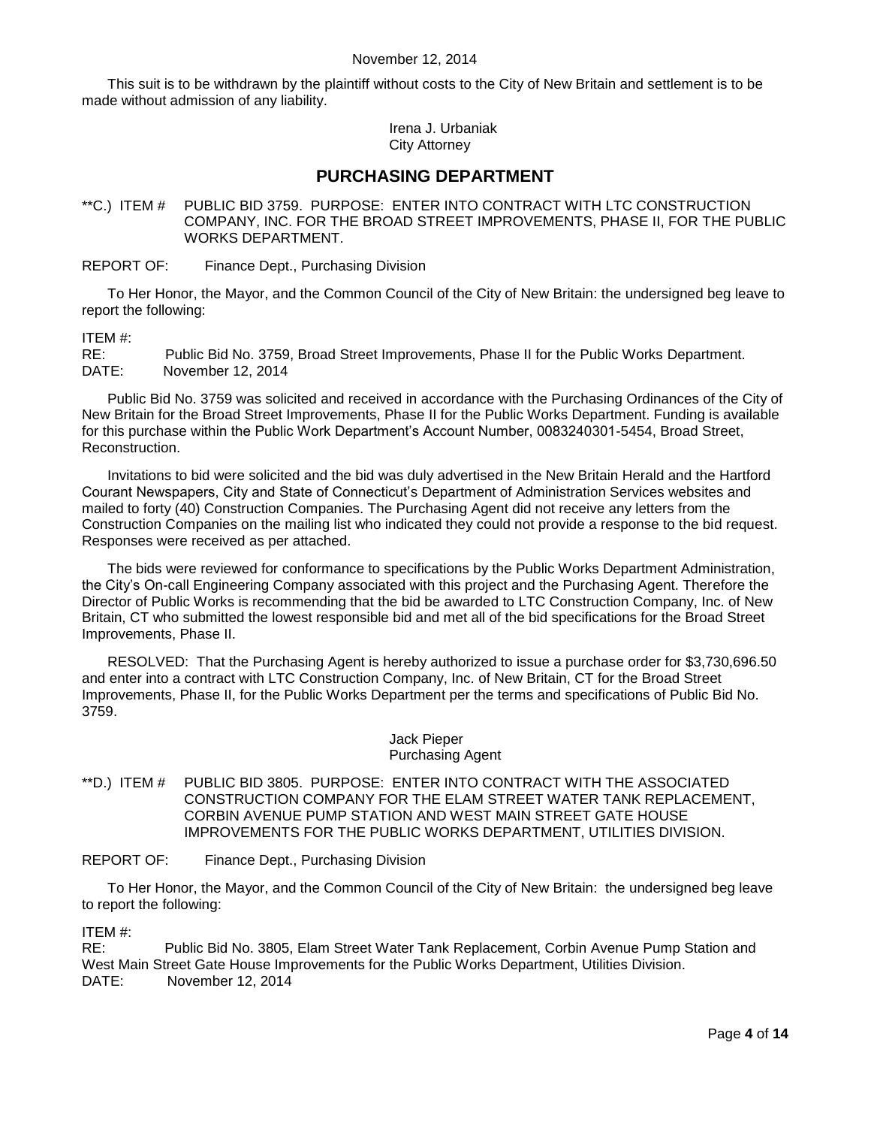This suit is to be withdrawn by the plaintiff without costs to the City of New Britain and settlement is to be made without admission of any liability.

> Irena J. Urbaniak City Attorney

### **PURCHASING DEPARTMENT**

<span id="page-3-0"></span>\*\*C.) ITEM # PUBLIC BID 3759. PURPOSE: ENTER INTO CONTRACT WITH LTC CONSTRUCTION COMPANY, INC. FOR THE BROAD STREET IMPROVEMENTS, PHASE II, FOR THE PUBLIC WORKS DEPARTMENT.

REPORT OF: Finance Dept., Purchasing Division

To Her Honor, the Mayor, and the Common Council of the City of New Britain: the undersigned beg leave to report the following:

#### ITEM #:

RE: Public Bid No. 3759, Broad Street Improvements, Phase II for the Public Works Department. DATE: November 12, 2014

Public Bid No. 3759 was solicited and received in accordance with the Purchasing Ordinances of the City of New Britain for the Broad Street Improvements, Phase II for the Public Works Department. Funding is available for this purchase within the Public Work Department's Account Number, 0083240301-5454, Broad Street, Reconstruction.

Invitations to bid were solicited and the bid was duly advertised in the New Britain Herald and the Hartford Courant Newspapers, City and State of Connecticut's Department of Administration Services websites and mailed to forty (40) Construction Companies. The Purchasing Agent did not receive any letters from the Construction Companies on the mailing list who indicated they could not provide a response to the bid request. Responses were received as per attached.

The bids were reviewed for conformance to specifications by the Public Works Department Administration, the City's On-call Engineering Company associated with this project and the Purchasing Agent. Therefore the Director of Public Works is recommending that the bid be awarded to LTC Construction Company, Inc. of New Britain, CT who submitted the lowest responsible bid and met all of the bid specifications for the Broad Street Improvements, Phase II.

RESOLVED: That the Purchasing Agent is hereby authorized to issue a purchase order for \$3,730,696.50 and enter into a contract with LTC Construction Company, Inc. of New Britain, CT for the Broad Street Improvements, Phase II, for the Public Works Department per the terms and specifications of Public Bid No. 3759.

#### Jack Pieper Purchasing Agent

<span id="page-3-1"></span>\*\*D.) ITEM # PUBLIC BID 3805. PURPOSE: ENTER INTO CONTRACT WITH THE ASSOCIATED CONSTRUCTION COMPANY FOR THE ELAM STREET WATER TANK REPLACEMENT, CORBIN AVENUE PUMP STATION AND WEST MAIN STREET GATE HOUSE IMPROVEMENTS FOR THE PUBLIC WORKS DEPARTMENT, UTILITIES DIVISION.

REPORT OF: Finance Dept., Purchasing Division

To Her Honor, the Mayor, and the Common Council of the City of New Britain: the undersigned beg leave to report the following:

ITEM #:

RE: Public Bid No. 3805, Elam Street Water Tank Replacement, Corbin Avenue Pump Station and West Main Street Gate House Improvements for the Public Works Department, Utilities Division. DATE: November 12, 2014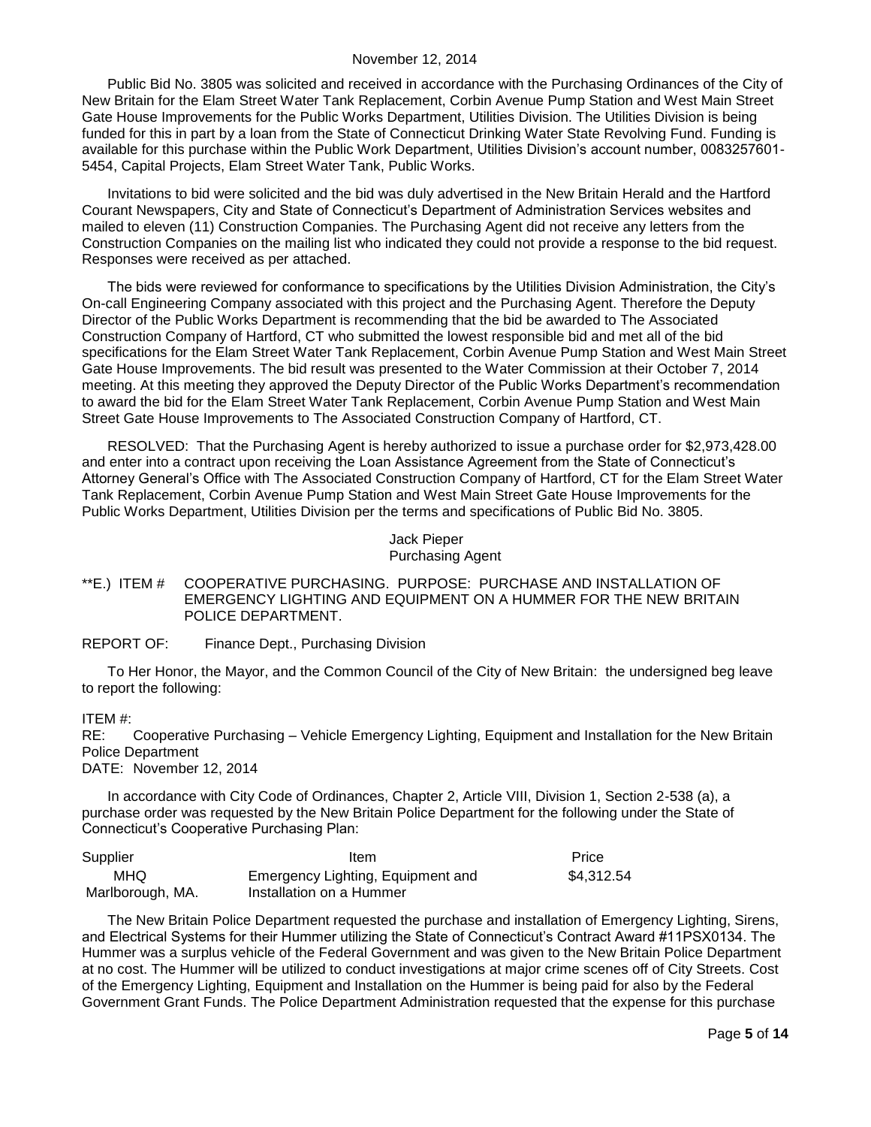Public Bid No. 3805 was solicited and received in accordance with the Purchasing Ordinances of the City of New Britain for the Elam Street Water Tank Replacement, Corbin Avenue Pump Station and West Main Street Gate House Improvements for the Public Works Department, Utilities Division. The Utilities Division is being funded for this in part by a loan from the State of Connecticut Drinking Water State Revolving Fund. Funding is available for this purchase within the Public Work Department, Utilities Division's account number, 0083257601- 5454, Capital Projects, Elam Street Water Tank, Public Works.

Invitations to bid were solicited and the bid was duly advertised in the New Britain Herald and the Hartford Courant Newspapers, City and State of Connecticut's Department of Administration Services websites and mailed to eleven (11) Construction Companies. The Purchasing Agent did not receive any letters from the Construction Companies on the mailing list who indicated they could not provide a response to the bid request. Responses were received as per attached.

The bids were reviewed for conformance to specifications by the Utilities Division Administration, the City's On-call Engineering Company associated with this project and the Purchasing Agent. Therefore the Deputy Director of the Public Works Department is recommending that the bid be awarded to The Associated Construction Company of Hartford, CT who submitted the lowest responsible bid and met all of the bid specifications for the Elam Street Water Tank Replacement, Corbin Avenue Pump Station and West Main Street Gate House Improvements. The bid result was presented to the Water Commission at their October 7, 2014 meeting. At this meeting they approved the Deputy Director of the Public Works Department's recommendation to award the bid for the Elam Street Water Tank Replacement, Corbin Avenue Pump Station and West Main Street Gate House Improvements to The Associated Construction Company of Hartford, CT.

RESOLVED: That the Purchasing Agent is hereby authorized to issue a purchase order for \$2,973,428.00 and enter into a contract upon receiving the Loan Assistance Agreement from the State of Connecticut's Attorney General's Office with The Associated Construction Company of Hartford, CT for the Elam Street Water Tank Replacement, Corbin Avenue Pump Station and West Main Street Gate House Improvements for the Public Works Department, Utilities Division per the terms and specifications of Public Bid No. 3805.

> Jack Pieper Purchasing Agent

#### <span id="page-4-0"></span>\*\*E.) ITEM # COOPERATIVE PURCHASING. PURPOSE: PURCHASE AND INSTALLATION OF EMERGENCY LIGHTING AND EQUIPMENT ON A HUMMER FOR THE NEW BRITAIN POLICE DEPARTMENT.

#### REPORT OF: Finance Dept., Purchasing Division

To Her Honor, the Mayor, and the Common Council of the City of New Britain: the undersigned beg leave to report the following:

### ITEM #:

RE: Cooperative Purchasing – Vehicle Emergency Lighting, Equipment and Installation for the New Britain Police Department

DATE: November 12, 2014

In accordance with City Code of Ordinances, Chapter 2, Article VIII, Division 1, Section 2-538 (a), a purchase order was requested by the New Britain Police Department for the following under the State of Connecticut's Cooperative Purchasing Plan:

| Supplier         | Item                              | Price      |
|------------------|-----------------------------------|------------|
| MHQ              | Emergency Lighting, Equipment and | \$4.312.54 |
| Marlborough, MA. | Installation on a Hummer          |            |

The New Britain Police Department requested the purchase and installation of Emergency Lighting, Sirens, and Electrical Systems for their Hummer utilizing the State of Connecticut's Contract Award #11PSX0134. The Hummer was a surplus vehicle of the Federal Government and was given to the New Britain Police Department at no cost. The Hummer will be utilized to conduct investigations at major crime scenes off of City Streets. Cost of the Emergency Lighting, Equipment and Installation on the Hummer is being paid for also by the Federal Government Grant Funds. The Police Department Administration requested that the expense for this purchase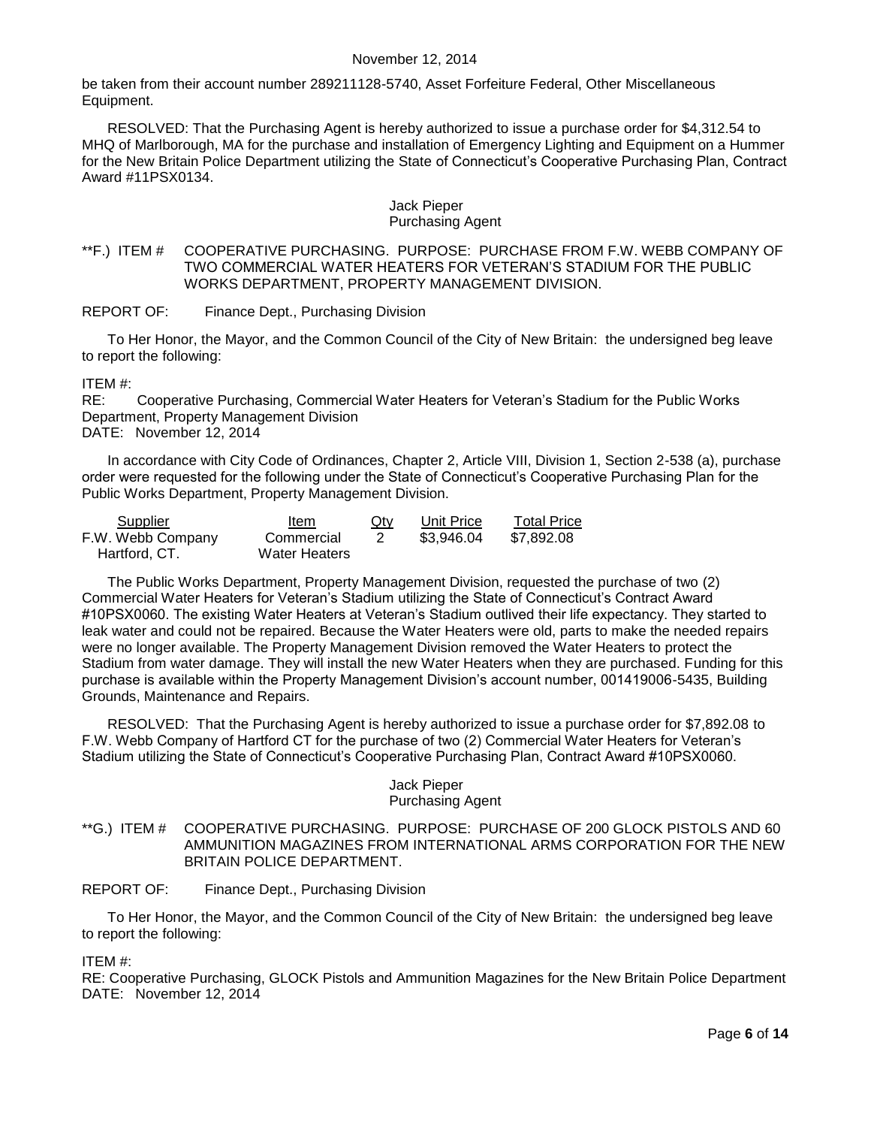be taken from their account number 289211128-5740, Asset Forfeiture Federal, Other Miscellaneous Equipment.

RESOLVED: That the Purchasing Agent is hereby authorized to issue a purchase order for \$4,312.54 to MHQ of Marlborough, MA for the purchase and installation of Emergency Lighting and Equipment on a Hummer for the New Britain Police Department utilizing the State of Connecticut's Cooperative Purchasing Plan, Contract Award #11PSX0134.

#### Jack Pieper Purchasing Agent

<span id="page-5-0"></span>\*\*F.) ITEM # COOPERATIVE PURCHASING. PURPOSE: PURCHASE FROM F.W. WEBB COMPANY OF TWO COMMERCIAL WATER HEATERS FOR VETERAN'S STADIUM FOR THE PUBLIC WORKS DEPARTMENT, PROPERTY MANAGEMENT DIVISION.

REPORT OF: Finance Dept., Purchasing Division

To Her Honor, the Mayor, and the Common Council of the City of New Britain: the undersigned beg leave to report the following:

ITEM #:

RE: Cooperative Purchasing, Commercial Water Heaters for Veteran's Stadium for the Public Works Department, Property Management Division DATE: November 12, 2014

In accordance with City Code of Ordinances, Chapter 2, Article VIII, Division 1, Section 2-538 (a), purchase order were requested for the following under the State of Connecticut's Cooperative Purchasing Plan for the Public Works Department, Property Management Division.

| Supplier          | Item                 | $Q$ ty | <b>Unit Price</b> | <b>Total Price</b> |
|-------------------|----------------------|--------|-------------------|--------------------|
| F.W. Webb Company | Commercial           |        | \$3.946.04        | \$7.892.08         |
| Hartford, CT.     | <b>Water Heaters</b> |        |                   |                    |

The Public Works Department, Property Management Division, requested the purchase of two (2) Commercial Water Heaters for Veteran's Stadium utilizing the State of Connecticut's Contract Award #10PSX0060. The existing Water Heaters at Veteran's Stadium outlived their life expectancy. They started to leak water and could not be repaired. Because the Water Heaters were old, parts to make the needed repairs were no longer available. The Property Management Division removed the Water Heaters to protect the Stadium from water damage. They will install the new Water Heaters when they are purchased. Funding for this purchase is available within the Property Management Division's account number, 001419006-5435, Building Grounds, Maintenance and Repairs.

RESOLVED: That the Purchasing Agent is hereby authorized to issue a purchase order for \$7,892.08 to F.W. Webb Company of Hartford CT for the purchase of two (2) Commercial Water Heaters for Veteran's Stadium utilizing the State of Connecticut's Cooperative Purchasing Plan, Contract Award #10PSX0060.

#### Jack Pieper Purchasing Agent

<span id="page-5-1"></span>\*\*G.) ITEM # COOPERATIVE PURCHASING. PURPOSE: PURCHASE OF 200 GLOCK PISTOLS AND 60 AMMUNITION MAGAZINES FROM INTERNATIONAL ARMS CORPORATION FOR THE NEW BRITAIN POLICE DEPARTMENT.

REPORT OF: Finance Dept., Purchasing Division

To Her Honor, the Mayor, and the Common Council of the City of New Britain: the undersigned beg leave to report the following:

ITEM #:

RE: Cooperative Purchasing, GLOCK Pistols and Ammunition Magazines for the New Britain Police Department DATE: November 12, 2014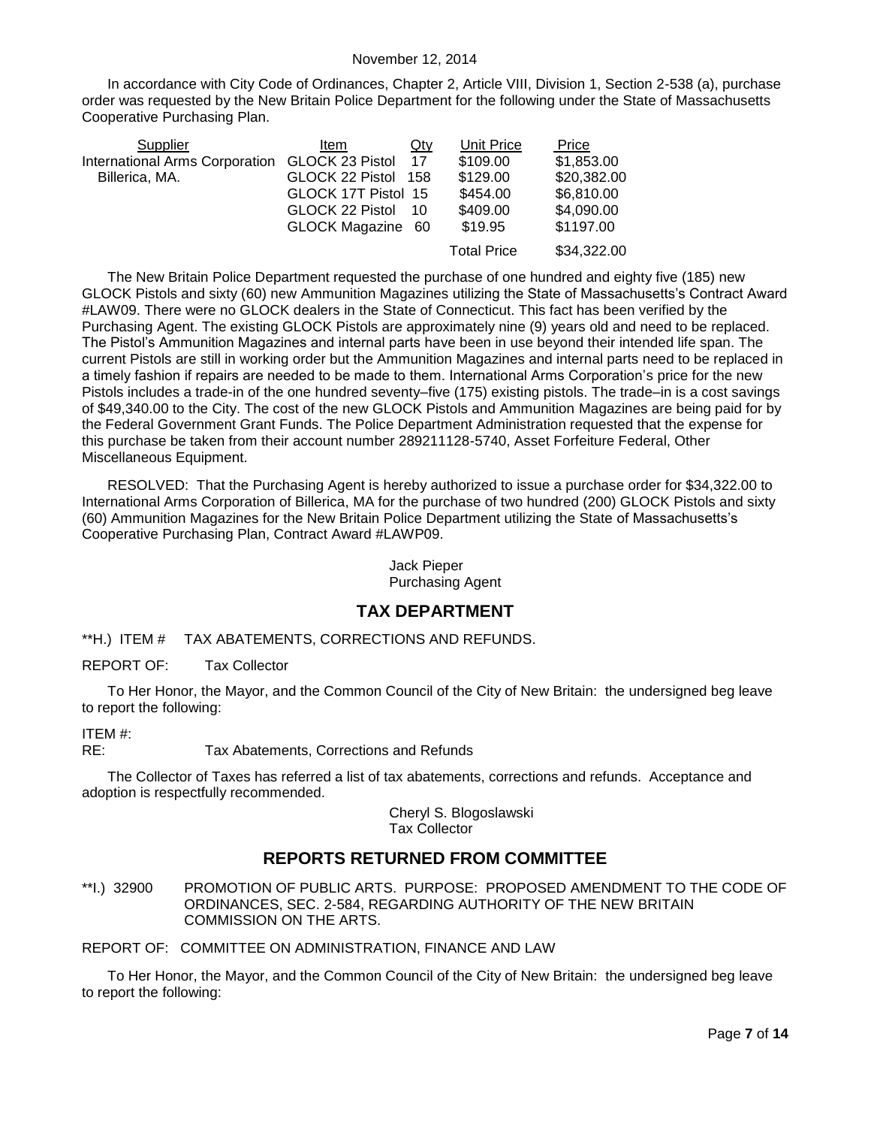In accordance with City Code of Ordinances, Chapter 2, Article VIII, Division 1, Section 2-538 (a), purchase order was requested by the New Britain Police Department for the following under the State of Massachusetts Cooperative Purchasing Plan.

| Supplier                                       | ltem                | $Q$ ty | Unit Price         | Price       |
|------------------------------------------------|---------------------|--------|--------------------|-------------|
| International Arms Corporation GLOCK 23 Pistol |                     | 17     | \$109.00           | \$1,853.00  |
| Billerica, MA.                                 | GLOCK 22 Pistol 158 |        | \$129.00           | \$20,382.00 |
|                                                | GLOCK 17T Pistol 15 |        | \$454.00           | \$6,810.00  |
|                                                | GLOCK 22 Pistol     | 10     | \$409.00           | \$4,090.00  |
|                                                | GLOCK Magazine 60   |        | \$19.95            | \$1197.00   |
|                                                |                     |        | <b>Total Price</b> | \$34,322.00 |

The New Britain Police Department requested the purchase of one hundred and eighty five (185) new GLOCK Pistols and sixty (60) new Ammunition Magazines utilizing the State of Massachusetts's Contract Award #LAW09. There were no GLOCK dealers in the State of Connecticut. This fact has been verified by the Purchasing Agent. The existing GLOCK Pistols are approximately nine (9) years old and need to be replaced. The Pistol's Ammunition Magazines and internal parts have been in use beyond their intended life span. The current Pistols are still in working order but the Ammunition Magazines and internal parts need to be replaced in a timely fashion if repairs are needed to be made to them. International Arms Corporation's price for the new Pistols includes a trade-in of the one hundred seventy–five (175) existing pistols. The trade–in is a cost savings of \$49,340.00 to the City. The cost of the new GLOCK Pistols and Ammunition Magazines are being paid for by the Federal Government Grant Funds. The Police Department Administration requested that the expense for this purchase be taken from their account number 289211128-5740, Asset Forfeiture Federal, Other Miscellaneous Equipment.

RESOLVED: That the Purchasing Agent is hereby authorized to issue a purchase order for \$34,322.00 to International Arms Corporation of Billerica, MA for the purchase of two hundred (200) GLOCK Pistols and sixty (60) Ammunition Magazines for the New Britain Police Department utilizing the State of Massachusetts's Cooperative Purchasing Plan, Contract Award #LAWP09.

> Jack Pieper Purchasing Agent

### **TAX DEPARTMENT**

<span id="page-6-0"></span>\*\*H.) ITEM # TAX ABATEMENTS, CORRECTIONS AND REFUNDS.

REPORT OF: Tax Collector

To Her Honor, the Mayor, and the Common Council of the City of New Britain: the undersigned beg leave to report the following:

ITEM #:

RE: Tax Abatements, Corrections and Refunds

The Collector of Taxes has referred a list of tax abatements, corrections and refunds. Acceptance and adoption is respectfully recommended.

> Cheryl S. Blogoslawski Tax Collector

# **REPORTS RETURNED FROM COMMITTEE**

<span id="page-6-1"></span>\*\*I.) 32900 PROMOTION OF PUBLIC ARTS. PURPOSE: PROPOSED AMENDMENT TO THE CODE OF ORDINANCES, SEC. 2-584, REGARDING AUTHORITY OF THE NEW BRITAIN COMMISSION ON THE ARTS.

REPORT OF: COMMITTEE ON ADMINISTRATION, FINANCE AND LAW

To Her Honor, the Mayor, and the Common Council of the City of New Britain: the undersigned beg leave to report the following: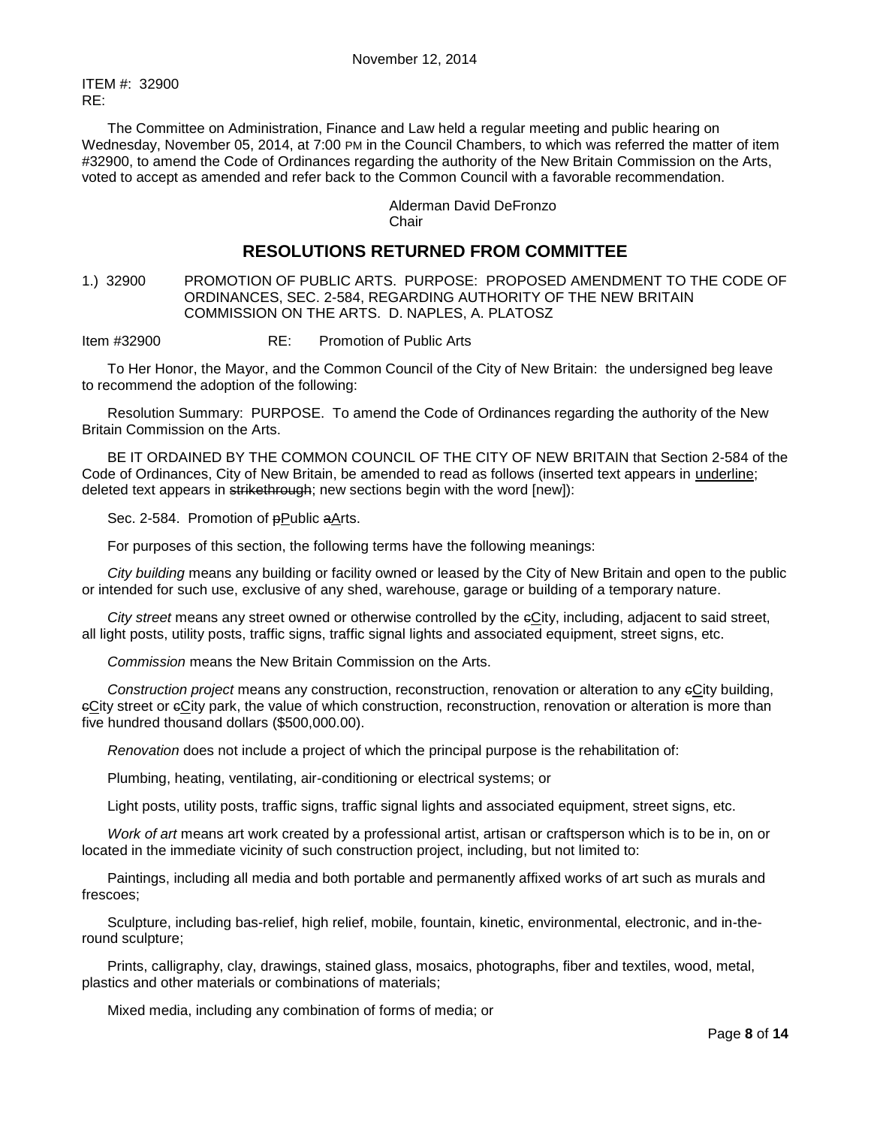ITEM #: 32900 RE:

The Committee on Administration, Finance and Law held a regular meeting and public hearing on Wednesday, November 05, 2014, at 7:00 PM in the Council Chambers, to which was referred the matter of item #32900, to amend the Code of Ordinances regarding the authority of the New Britain Commission on the Arts, voted to accept as amended and refer back to the Common Council with a favorable recommendation.

#### Alderman David DeFronzo **Chair**

# **RESOLUTIONS RETURNED FROM COMMITTEE**

<span id="page-7-0"></span>1.) 32900 PROMOTION OF PUBLIC ARTS. PURPOSE: PROPOSED AMENDMENT TO THE CODE OF ORDINANCES, SEC. 2-584, REGARDING AUTHORITY OF THE NEW BRITAIN COMMISSION ON THE ARTS. D. NAPLES, A. PLATOSZ

Item #32900 RE: Promotion of Public Arts

To Her Honor, the Mayor, and the Common Council of the City of New Britain: the undersigned beg leave to recommend the adoption of the following:

Resolution Summary: PURPOSE. To amend the Code of Ordinances regarding the authority of the New Britain Commission on the Arts.

BE IT ORDAINED BY THE COMMON COUNCIL OF THE CITY OF NEW BRITAIN that Section 2-584 of the Code of Ordinances, City of New Britain, be amended to read as follows (inserted text appears in underline; deleted text appears in strikethrough; new sections begin with the word [new]):

Sec. 2-584. Promotion of **pPublic aArts.** 

For purposes of this section, the following terms have the following meanings:

*City building* means any building or facility owned or leased by the City of New Britain and open to the public or intended for such use, exclusive of any shed, warehouse, garage or building of a temporary nature.

*City street* means any street owned or otherwise controlled by the cCity, including, adjacent to said street, all light posts, utility posts, traffic signs, traffic signal lights and associated equipment, street signs, etc.

*Commission* means the New Britain Commission on the Arts.

*Construction project* means any construction, reconstruction, renovation or alteration to any cCity building, cCity street or cCity park, the value of which construction, reconstruction, renovation or alteration is more than five hundred thousand dollars (\$500,000.00).

*Renovation* does not include a project of which the principal purpose is the rehabilitation of:

Plumbing, heating, ventilating, air-conditioning or electrical systems; or

Light posts, utility posts, traffic signs, traffic signal lights and associated equipment, street signs, etc.

*Work of art* means art work created by a professional artist, artisan or craftsperson which is to be in, on or located in the immediate vicinity of such construction project, including, but not limited to:

Paintings, including all media and both portable and permanently affixed works of art such as murals and frescoes;

Sculpture, including bas-relief, high relief, mobile, fountain, kinetic, environmental, electronic, and in-theround sculpture;

Prints, calligraphy, clay, drawings, stained glass, mosaics, photographs, fiber and textiles, wood, metal, plastics and other materials or combinations of materials;

Mixed media, including any combination of forms of media; or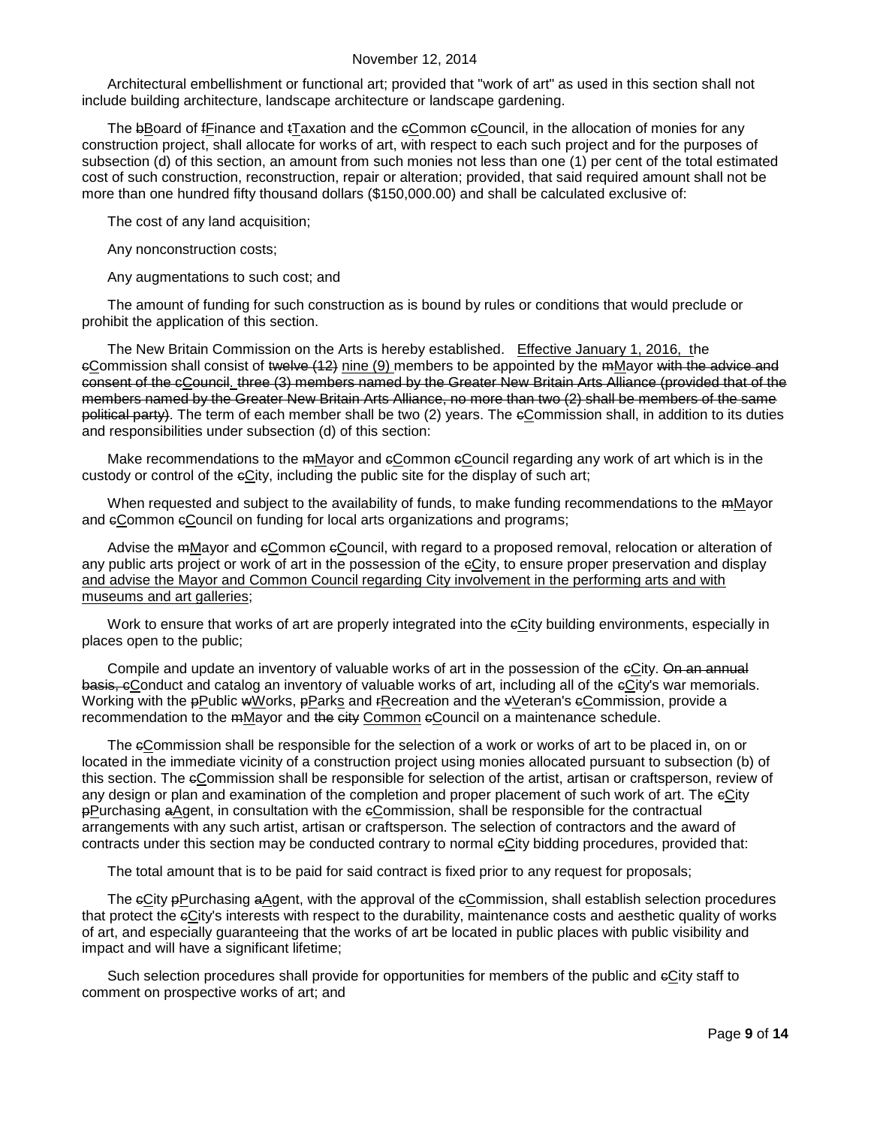Architectural embellishment or functional art; provided that "work of art" as used in this section shall not include building architecture, landscape architecture or landscape gardening.

The bBoard of fFinance and tTaxation and the eCommon eCouncil, in the allocation of monies for any construction project, shall allocate for works of art, with respect to each such project and for the purposes of subsection (d) of this section, an amount from such monies not less than one (1) per cent of the total estimated cost of such construction, reconstruction, repair or alteration; provided, that said required amount shall not be more than one hundred fifty thousand dollars (\$150,000.00) and shall be calculated exclusive of:

The cost of any land acquisition;

Any nonconstruction costs;

Any augmentations to such cost; and

The amount of funding for such construction as is bound by rules or conditions that would preclude or prohibit the application of this section.

The New Britain Commission on the Arts is hereby established. Effective January 1, 2016, the eCommission shall consist of twelve (12) nine (9) members to be appointed by the mMayor with the advice and consent of the cCouncil. three (3) members named by the Greater New Britain Arts Alliance (provided that of the members named by the Greater New Britain Arts Alliance, no more than two (2) shall be members of the same political party). The term of each member shall be two (2) years. The eCommission shall, in addition to its duties and responsibilities under subsection (d) of this section:

Make recommendations to the mMayor and eCommon eCouncil regarding any work of art which is in the custody or control of the  $eC$ ity, including the public site for the display of such art;

When requested and subject to the availability of funds, to make funding recommendations to the mMayor and eCommon eCouncil on funding for local arts organizations and programs;

Advise the mMayor and eCommon eCouncil, with regard to a proposed removal, relocation or alteration of any public arts project or work of art in the possession of the eCity, to ensure proper preservation and display and advise the Mayor and Common Council regarding City involvement in the performing arts and with museums and art galleries;

Work to ensure that works of art are properly integrated into the eCity building environments, especially in places open to the public;

Compile and update an inventory of valuable works of art in the possession of the eCity. On an annual basis, eConduct and catalog an inventory of valuable works of art, including all of the eCity's war memorials. Working with the pPublic wWorks, pParks and rRecreation and the vVeteran's eCommission, provide a recommendation to the mMayor and the city Common eCouncil on a maintenance schedule.

The eCommission shall be responsible for the selection of a work or works of art to be placed in, on or located in the immediate vicinity of a construction project using monies allocated pursuant to subsection (b) of this section. The eCommission shall be responsible for selection of the artist, artisan or craftsperson, review of any design or plan and examination of the completion and proper placement of such work of art. The eCity pPurchasing aAgent, in consultation with the cCommission, shall be responsible for the contractual arrangements with any such artist, artisan or craftsperson. The selection of contractors and the award of contracts under this section may be conducted contrary to normal eCity bidding procedures, provided that:

The total amount that is to be paid for said contract is fixed prior to any request for proposals;

The eCity pPurchasing aAgent, with the approval of the eCommission, shall establish selection procedures that protect the eCity's interests with respect to the durability, maintenance costs and aesthetic quality of works of art, and especially guaranteeing that the works of art be located in public places with public visibility and impact and will have a significant lifetime;

Such selection procedures shall provide for opportunities for members of the public and  $\epsilon$ City staff to comment on prospective works of art; and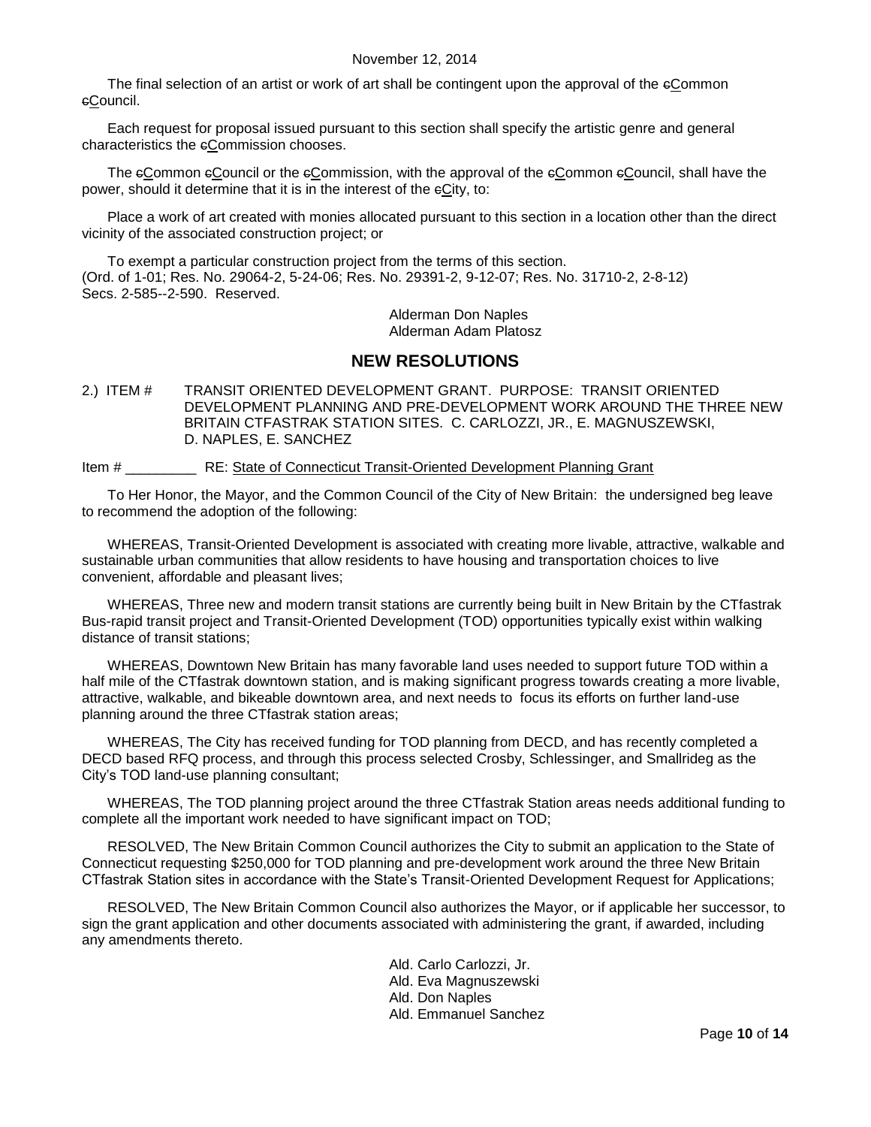The final selection of an artist or work of art shall be contingent upon the approval of the eCommon cCouncil.

Each request for proposal issued pursuant to this section shall specify the artistic genre and general characteristics the eCommission chooses.

The eCommon eCouncil or the eCommission, with the approval of the eCommon eCouncil, shall have the power, should it determine that it is in the interest of the eCity, to:

Place a work of art created with monies allocated pursuant to this section in a location other than the direct vicinity of the associated construction project; or

To exempt a particular construction project from the terms of this section. (Ord. of 1-01; Res. No. 29064-2, 5-24-06; Res. No. 29391-2, 9-12-07; Res. No. 31710-2, 2-8-12) Secs. 2-585--2-590. Reserved.

> Alderman Don Naples Alderman Adam Platosz

### **NEW RESOLUTIONS**

<span id="page-9-0"></span>2.) ITEM # TRANSIT ORIENTED DEVELOPMENT GRANT. PURPOSE: TRANSIT ORIENTED DEVELOPMENT PLANNING AND PRE-DEVELOPMENT WORK AROUND THE THREE NEW BRITAIN CTFASTRAK STATION SITES. C. CARLOZZI, JR., E. MAGNUSZEWSKI, D. NAPLES, E. SANCHEZ

Item # \_\_\_\_\_\_\_\_\_ RE: State of Connecticut Transit-Oriented Development Planning Grant

To Her Honor, the Mayor, and the Common Council of the City of New Britain: the undersigned beg leave to recommend the adoption of the following:

WHEREAS, Transit-Oriented Development is associated with creating more livable, attractive, walkable and sustainable urban communities that allow residents to have housing and transportation choices to live convenient, affordable and pleasant lives;

WHEREAS, Three new and modern transit stations are currently being built in New Britain by the CTfastrak Bus-rapid transit project and Transit-Oriented Development (TOD) opportunities typically exist within walking distance of transit stations;

WHEREAS, Downtown New Britain has many favorable land uses needed to support future TOD within a half mile of the CTfastrak downtown station, and is making significant progress towards creating a more livable, attractive, walkable, and bikeable downtown area, and next needs to focus its efforts on further land-use planning around the three CTfastrak station areas;

WHEREAS, The City has received funding for TOD planning from DECD, and has recently completed a DECD based RFQ process, and through this process selected Crosby, Schlessinger, and Smallrideg as the City's TOD land-use planning consultant;

WHEREAS, The TOD planning project around the three CTfastrak Station areas needs additional funding to complete all the important work needed to have significant impact on TOD;

RESOLVED, The New Britain Common Council authorizes the City to submit an application to the State of Connecticut requesting \$250,000 for TOD planning and pre-development work around the three New Britain CTfastrak Station sites in accordance with the State's Transit-Oriented Development Request for Applications;

RESOLVED, The New Britain Common Council also authorizes the Mayor, or if applicable her successor, to sign the grant application and other documents associated with administering the grant, if awarded, including any amendments thereto.

> Ald. Carlo Carlozzi, Jr. Ald. Eva Magnuszewski Ald. Don Naples Ald. Emmanuel Sanchez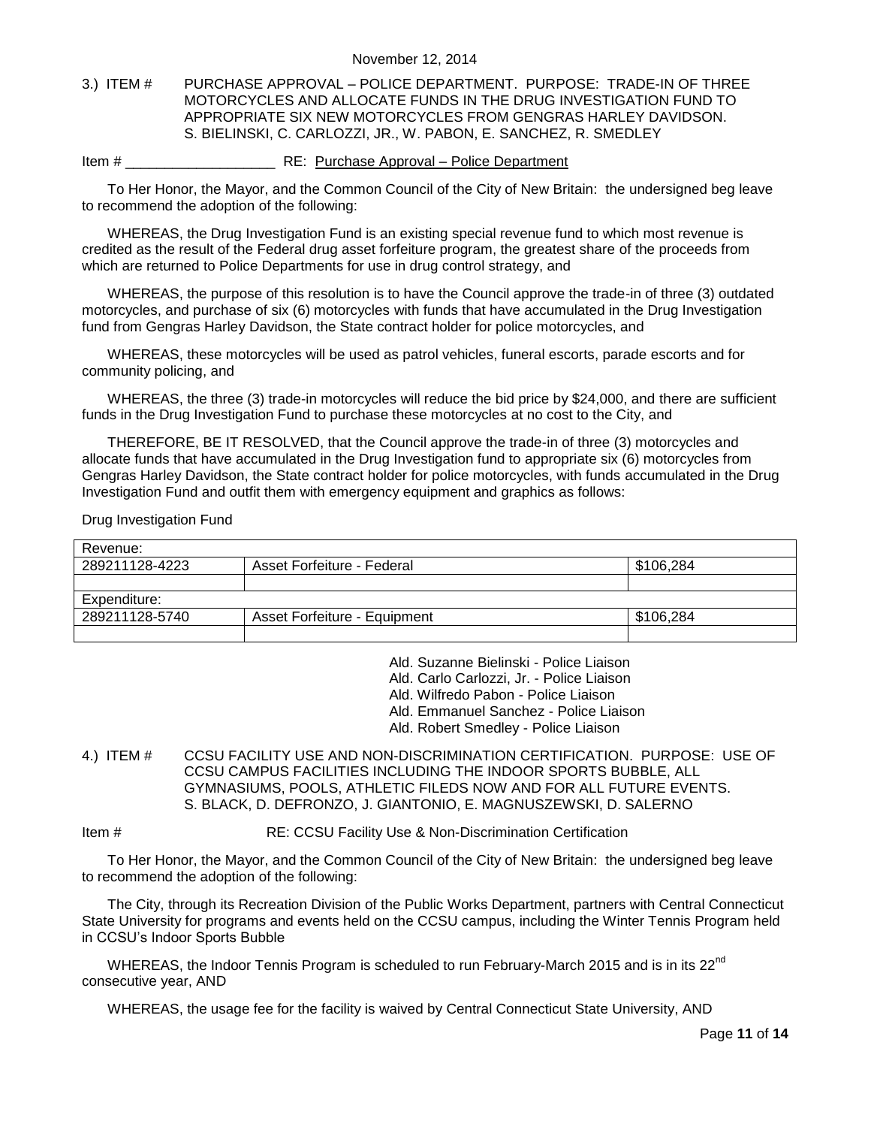#### <span id="page-10-0"></span>3.) ITEM # PURCHASE APPROVAL – POLICE DEPARTMENT. PURPOSE: TRADE-IN OF THREE MOTORCYCLES AND ALLOCATE FUNDS IN THE DRUG INVESTIGATION FUND TO APPROPRIATE SIX NEW MOTORCYCLES FROM GENGRAS HARLEY DAVIDSON. S. BIELINSKI, C. CARLOZZI, JR., W. PABON, E. SANCHEZ, R. SMEDLEY

#### Item # \_\_\_\_\_\_\_\_\_\_\_\_\_\_\_\_\_\_\_ RE: Purchase Approval – Police Department

To Her Honor, the Mayor, and the Common Council of the City of New Britain: the undersigned beg leave to recommend the adoption of the following:

WHEREAS, the Drug Investigation Fund is an existing special revenue fund to which most revenue is credited as the result of the Federal drug asset forfeiture program, the greatest share of the proceeds from which are returned to Police Departments for use in drug control strategy, and

WHEREAS, the purpose of this resolution is to have the Council approve the trade-in of three (3) outdated motorcycles, and purchase of six (6) motorcycles with funds that have accumulated in the Drug Investigation fund from Gengras Harley Davidson, the State contract holder for police motorcycles, and

WHEREAS, these motorcycles will be used as patrol vehicles, funeral escorts, parade escorts and for community policing, and

WHEREAS, the three (3) trade-in motorcycles will reduce the bid price by \$24,000, and there are sufficient funds in the Drug Investigation Fund to purchase these motorcycles at no cost to the City, and

THEREFORE, BE IT RESOLVED, that the Council approve the trade-in of three (3) motorcycles and allocate funds that have accumulated in the Drug Investigation fund to appropriate six (6) motorcycles from Gengras Harley Davidson, the State contract holder for police motorcycles, with funds accumulated in the Drug Investigation Fund and outfit them with emergency equipment and graphics as follows:

Drug Investigation Fund

| Revenue:       |                              |           |
|----------------|------------------------------|-----------|
| 289211128-4223 | Asset Forfeiture - Federal   | \$106.284 |
|                |                              |           |
|                |                              |           |
| Expenditure:   |                              |           |
| 289211128-5740 | Asset Forfeiture - Equipment | \$106.284 |

Ald. Suzanne Bielinski - Police Liaison

Ald. Carlo Carlozzi, Jr. - Police Liaison

Ald. Wilfredo Pabon - Police Liaison

Ald. Emmanuel Sanchez - Police Liaison

- Ald. Robert Smedley Police Liaison
- <span id="page-10-1"></span>4.) ITEM # CCSU FACILITY USE AND NON-DISCRIMINATION CERTIFICATION. PURPOSE: USE OF CCSU CAMPUS FACILITIES INCLUDING THE INDOOR SPORTS BUBBLE, ALL GYMNASIUMS, POOLS, ATHLETIC FILEDS NOW AND FOR ALL FUTURE EVENTS. S. BLACK, D. DEFRONZO, J. GIANTONIO, E. MAGNUSZEWSKI, D. SALERNO

Item # RE: CCSU Facility Use & Non-Discrimination Certification

To Her Honor, the Mayor, and the Common Council of the City of New Britain: the undersigned beg leave to recommend the adoption of the following:

The City, through its Recreation Division of the Public Works Department, partners with Central Connecticut State University for programs and events held on the CCSU campus, including the Winter Tennis Program held in CCSU's Indoor Sports Bubble

WHEREAS, the Indoor Tennis Program is scheduled to run February-March 2015 and is in its 22<sup>nd</sup> consecutive year, AND

WHEREAS, the usage fee for the facility is waived by Central Connecticut State University, AND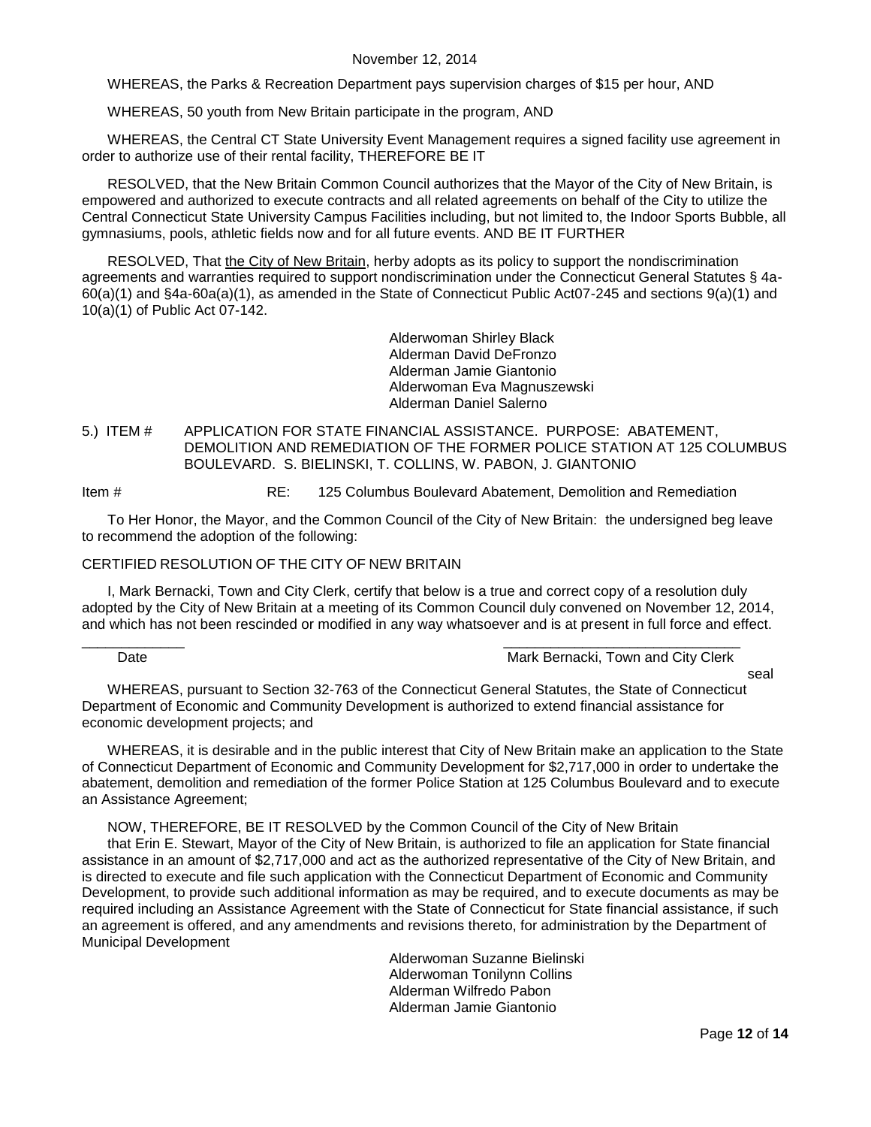WHEREAS, the Parks & Recreation Department pays supervision charges of \$15 per hour, AND

WHEREAS, 50 youth from New Britain participate in the program, AND

WHEREAS, the Central CT State University Event Management requires a signed facility use agreement in order to authorize use of their rental facility, THEREFORE BE IT

RESOLVED, that the New Britain Common Council authorizes that the Mayor of the City of New Britain, is empowered and authorized to execute contracts and all related agreements on behalf of the City to utilize the Central Connecticut State University Campus Facilities including, but not limited to, the Indoor Sports Bubble, all gymnasiums, pools, athletic fields now and for all future events. AND BE IT FURTHER

RESOLVED, That the City of New Britain, herby adopts as its policy to support the nondiscrimination agreements and warranties required to support nondiscrimination under the Connecticut General Statutes § 4a-60(a)(1) and §4a-60a(a)(1), as amended in the State of Connecticut Public Act07-245 and sections 9(a)(1) and 10(a)(1) of Public Act 07-142.

> Alderwoman Shirley Black Alderman David DeFronzo Alderman Jamie Giantonio Alderwoman Eva Magnuszewski Alderman Daniel Salerno

#### <span id="page-11-0"></span>5.) ITEM # APPLICATION FOR STATE FINANCIAL ASSISTANCE. PURPOSE: ABATEMENT, DEMOLITION AND REMEDIATION OF THE FORMER POLICE STATION AT 125 COLUMBUS BOULEVARD. S. BIELINSKI, T. COLLINS, W. PABON, J. GIANTONIO

Item # RE: 125 Columbus Boulevard Abatement, Demolition and Remediation

To Her Honor, the Mayor, and the Common Council of the City of New Britain: the undersigned beg leave to recommend the adoption of the following:

#### CERTIFIED RESOLUTION OF THE CITY OF NEW BRITAIN

I, Mark Bernacki, Town and City Clerk, certify that below is a true and correct copy of a resolution duly adopted by the City of New Britain at a meeting of its Common Council duly convened on November 12, 2014, and which has not been rescinded or modified in any way whatsoever and is at present in full force and effect.

### Date **Date Mark Bernacki, Town and City Clerk** Bernacki, Town and City Clerk

seal

WHEREAS, pursuant to Section 32-763 of the Connecticut General Statutes, the State of Connecticut Department of Economic and Community Development is authorized to extend financial assistance for economic development projects; and

 $\frac{1}{2}$  ,  $\frac{1}{2}$  ,  $\frac{1}{2}$  ,  $\frac{1}{2}$  ,  $\frac{1}{2}$  ,  $\frac{1}{2}$  ,  $\frac{1}{2}$  ,  $\frac{1}{2}$  ,  $\frac{1}{2}$  ,  $\frac{1}{2}$  ,  $\frac{1}{2}$  ,  $\frac{1}{2}$  ,  $\frac{1}{2}$  ,  $\frac{1}{2}$  ,  $\frac{1}{2}$  ,  $\frac{1}{2}$  ,  $\frac{1}{2}$  ,  $\frac{1}{2}$  ,  $\frac{1$ 

WHEREAS, it is desirable and in the public interest that City of New Britain make an application to the State of Connecticut Department of Economic and Community Development for \$2,717,000 in order to undertake the abatement, demolition and remediation of the former Police Station at 125 Columbus Boulevard and to execute an Assistance Agreement;

NOW, THEREFORE, BE IT RESOLVED by the Common Council of the City of New Britain that Erin E. Stewart, Mayor of the City of New Britain, is authorized to file an application for State financial assistance in an amount of \$2,717,000 and act as the authorized representative of the City of New Britain, and is directed to execute and file such application with the Connecticut Department of Economic and Community Development, to provide such additional information as may be required, and to execute documents as may be required including an Assistance Agreement with the State of Connecticut for State financial assistance, if such an agreement is offered, and any amendments and revisions thereto, for administration by the Department of Municipal Development

> Alderwoman Suzanne Bielinski Alderwoman Tonilynn Collins Alderman Wilfredo Pabon Alderman Jamie Giantonio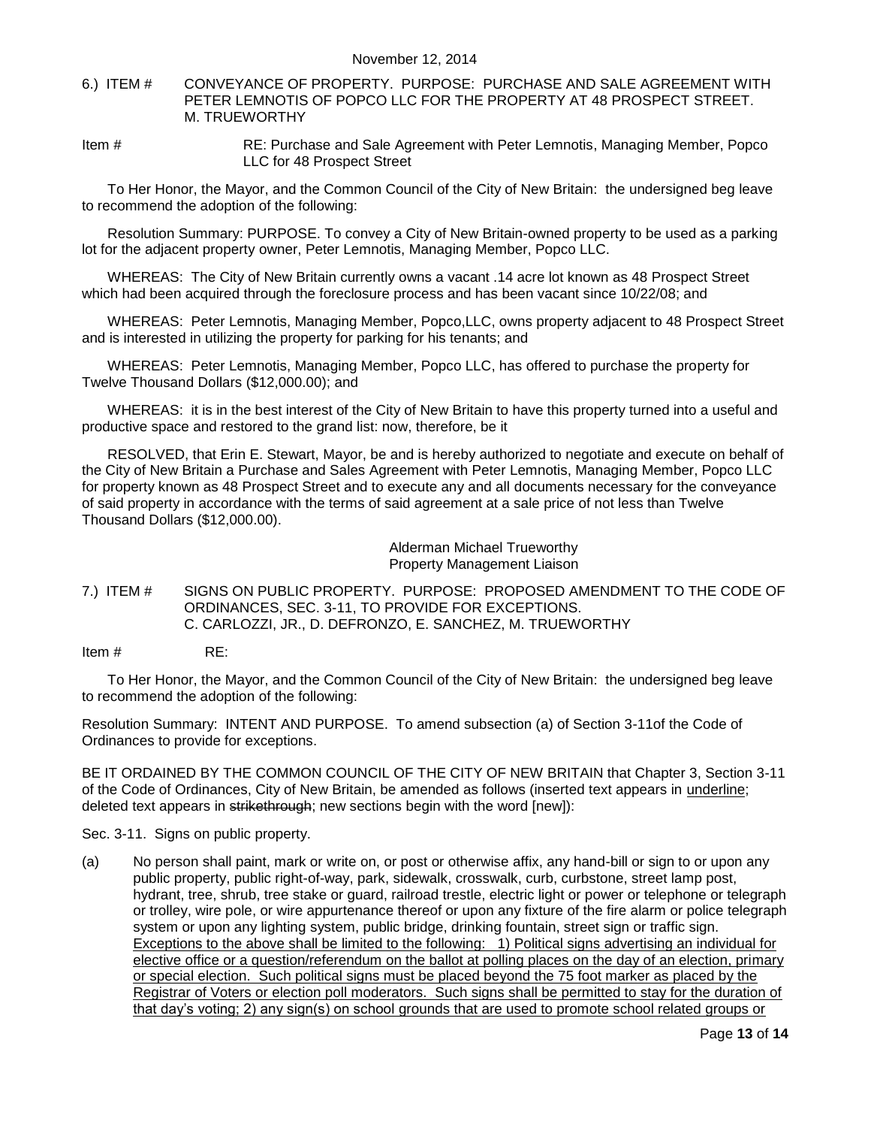- <span id="page-12-0"></span>6.) ITEM # CONVEYANCE OF PROPERTY. PURPOSE: PURCHASE AND SALE AGREEMENT WITH PETER LEMNOTIS OF POPCO LLC FOR THE PROPERTY AT 48 PROSPECT STREET. M. TRUEWORTHY
- Item # RE: Purchase and Sale Agreement with Peter Lemnotis, Managing Member, Popco LLC for 48 Prospect Street

To Her Honor, the Mayor, and the Common Council of the City of New Britain: the undersigned beg leave to recommend the adoption of the following:

Resolution Summary: PURPOSE. To convey a City of New Britain-owned property to be used as a parking lot for the adjacent property owner, Peter Lemnotis, Managing Member, Popco LLC.

WHEREAS: The City of New Britain currently owns a vacant .14 acre lot known as 48 Prospect Street which had been acquired through the foreclosure process and has been vacant since 10/22/08; and

WHEREAS: Peter Lemnotis, Managing Member, Popco,LLC, owns property adjacent to 48 Prospect Street and is interested in utilizing the property for parking for his tenants; and

WHEREAS: Peter Lemnotis, Managing Member, Popco LLC, has offered to purchase the property for Twelve Thousand Dollars (\$12,000.00); and

WHEREAS: it is in the best interest of the City of New Britain to have this property turned into a useful and productive space and restored to the grand list: now, therefore, be it

RESOLVED, that Erin E. Stewart, Mayor, be and is hereby authorized to negotiate and execute on behalf of the City of New Britain a Purchase and Sales Agreement with Peter Lemnotis, Managing Member, Popco LLC for property known as 48 Prospect Street and to execute any and all documents necessary for the conveyance of said property in accordance with the terms of said agreement at a sale price of not less than Twelve Thousand Dollars (\$12,000.00).

> Alderman Michael Trueworthy Property Management Liaison

<span id="page-12-1"></span>7.) ITEM # SIGNS ON PUBLIC PROPERTY. PURPOSE: PROPOSED AMENDMENT TO THE CODE OF ORDINANCES, SEC. 3-11, TO PROVIDE FOR EXCEPTIONS. C. CARLOZZI, JR., D. DEFRONZO, E. SANCHEZ, M. TRUEWORTHY

Item # RE:

To Her Honor, the Mayor, and the Common Council of the City of New Britain: the undersigned beg leave to recommend the adoption of the following:

Resolution Summary: INTENT AND PURPOSE. To amend subsection (a) of Section 3-11of the Code of Ordinances to provide for exceptions.

BE IT ORDAINED BY THE COMMON COUNCIL OF THE CITY OF NEW BRITAIN that Chapter 3, Section 3-11 of the Code of Ordinances, City of New Britain, be amended as follows (inserted text appears in underline; deleted text appears in strikethrough; new sections begin with the word [new]):

Sec. 3-11. Signs on public property.

(a) No person shall paint, mark or write on, or post or otherwise affix, any hand-bill or sign to or upon any public property, public right-of-way, park, sidewalk, crosswalk, curb, curbstone, street lamp post, hydrant, tree, shrub, tree stake or guard, railroad trestle, electric light or power or telephone or telegraph or trolley, wire pole, or wire appurtenance thereof or upon any fixture of the fire alarm or police telegraph system or upon any lighting system, public bridge, drinking fountain, street sign or traffic sign. Exceptions to the above shall be limited to the following: 1) Political signs advertising an individual for elective office or a question/referendum on the ballot at polling places on the day of an election, primary or special election. Such political signs must be placed beyond the 75 foot marker as placed by the Registrar of Voters or election poll moderators. Such signs shall be permitted to stay for the duration of that day's voting; 2) any sign(s) on school grounds that are used to promote school related groups or